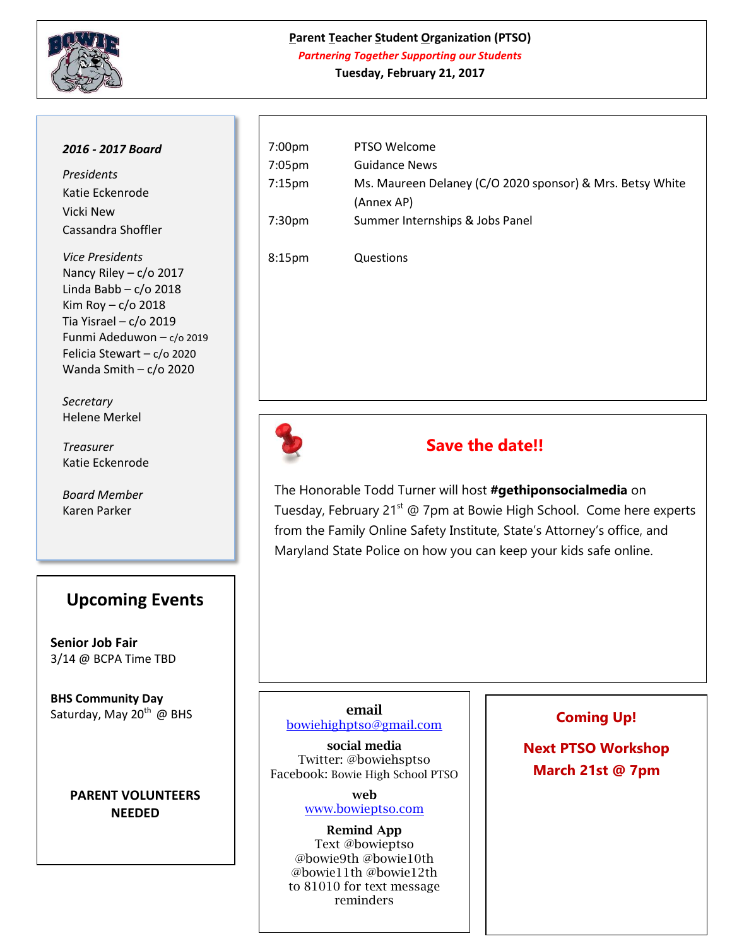

## **Parent Teacher Student Organization (PTSO)** *Partnering Together Supporting our Students*

**Tuesday, February 21, 2017 Agenda**

### *2016 - 2017 Board*

*Presidents* Katie Eckenrode Vicki New Cassandra Shoffler

*Vice Presidents* Nancy Riley –  $c$ / $\sigma$  2017 Linda Babb – c/o 2018 Kim Roy  $- c$ /o 2018 Tia Yisrael – c/o 2019 Funmi Adeduwon – c/o 2019 Felicia Stewart – c/o 2020 Wanda Smith – c/o 2020

*Secretary*  Helene Merkel

*Treasurer*  Katie Eckenrode

*Board Member* Karen Parker

# **Upcoming Events**

**Senior Job Fair** 3/14 @ BCPA Time TBD

**BHS Community Day** Saturday, May  $20^{th}$  @ BHS

## **PARENT VOLUNTEERS NEEDED**

| 7:00pm | PTSO Welcome                                              |
|--------|-----------------------------------------------------------|
| 7:05pm | <b>Guidance News</b>                                      |
| 7:15pm | Ms. Maureen Delaney (C/O 2020 sponsor) & Mrs. Betsy White |
|        | (Annex AP)                                                |
| 7:30pm | Summer Internships & Jobs Panel                           |
|        |                                                           |
| 8:15pm | Questions                                                 |
|        |                                                           |



# **Save the date!!**

The Honorable Todd Turner will host **#gethiponsocialmedia** on Tuesday, February 21<sup>st</sup> @ 7pm at Bowie High School. Come here experts from the Family Online Safety Institute, State's Attorney's office, and Maryland State Police on how you can keep your kids safe online.

#### **email** [bowiehighptso@gmail.com](mailto:bowiehighptso@gmail.com)

**social media**

Twitter: @bowiehsptso Facebook: Bowie High School PTSO

> **web**  [www.bowieptso.com](http://www.bowieptso.com/)

**Remind App** Text @bowieptso @bowie9th @bowie10th @bowie11th @bowie12th to 81010 for text message reminders

## **Coming Up!**

**Next PTSO Workshop March 21st @ 7pm**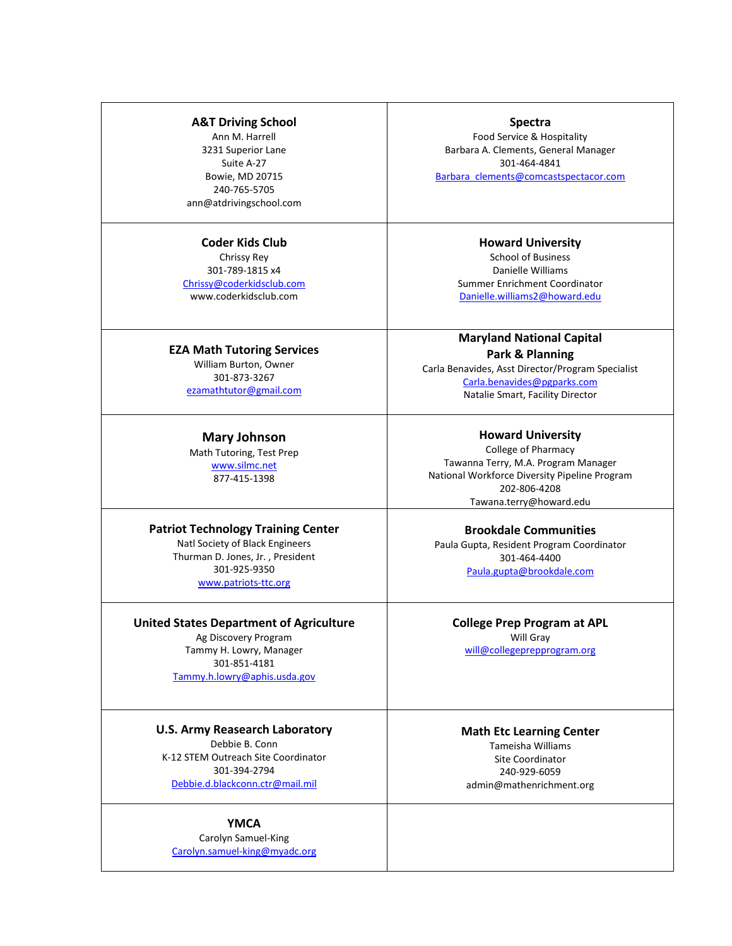#### **A&T Driving School**

Ann M. Harrell 3231 Superior Lane Suite A-27 Bowie, MD 20715 240-765-5705 ann@atdrivingschool.com

### **Coder Kids Club** Chrissy Rey

301-789-1815 x4 [Chrissy@coderkidsclub.com](mailto:Chrissy@coderkidsclub.com) www.coderkidsclub.com

**EZA Math Tutoring Services** William Burton, Owner 301-873-3267 [ezamathtutor@gmail.com](mailto:ezamathtutor@gmail.com)

> **Mary Johnson** Math Tutoring, Test Prep

[www.silmc.net](http://www.silmc.net/) 877-415-1398

#### **Patriot Technology Training Center** Natl Society of Black Engineers Thurman D. Jones, Jr. , President 301-925-9350 [www.patriots-ttc.org](http://www.patriots-ttc.org/)

**United States Department of Agriculture** Ag Discovery Program Tammy H. Lowry, Manager 301-851-4181 [Tammy.h.lowry@aphis.usda.gov](mailto:Tammy.h.lowry@aphis.usda.gov)

## **U.S. Army Reasearch Laboratory**

Debbie B. Conn K-12 STEM Outreach Site Coordinator 301-394-2794 [Debbie.d.blackconn.ctr@mail.mil](mailto:Debbie.d.blackconn.ctr@mail.mil)

### **YMCA**

Carolyn Samuel-King [Carolyn.samuel-king@myadc.org](mailto:Carolyn.samuel-king@myadc.org)

Food Service & Hospitality Barbara A. Clements, General Manager 301-464-4841 Barbara clements@comcastspectacor.com

> **Howard University**  School of Business Danielle Williams Summer Enrichment Coordinator [Danielle.williams2@howard.edu](mailto:Danielle.williams2@howard.edu)

**Maryland National Capital Park & Planning** Carla Benavides, Asst Director/Program Specialist [Carla.benavides@pgparks.com](mailto:Carla.benavides@pgparks.com) Natalie Smart, Facility Director

**Howard University**  College of Pharmacy Tawanna Terry, M.A. Program Manager National Workforce Diversity Pipeline Program 202-806-4208 Tawana.terry@howard.edu

**Brookdale Communities** Paula Gupta, Resident Program Coordinator 301-464-4400 [Paula.gupta@brookdale.com](mailto:Paula.gupta@brookdale.com)

**College Prep Program at APL** Will Gray [will@collegeprepprogram.org](mailto:will@collegeprepprogram.org)

#### **Math Etc Learning Center** Tameisha Williams Site Coordinator

240-929-6059 admin@mathenrichment.org

**Spectra**